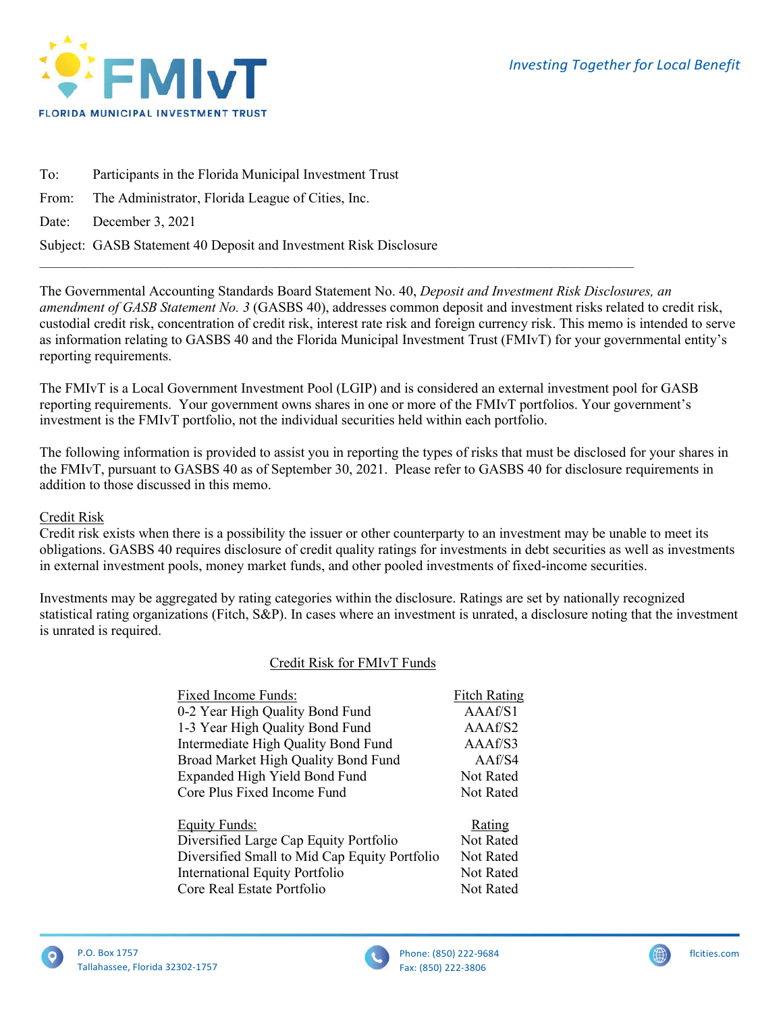

To: Participants in the Florida Municipal Investment Trust From: The Administrator, Florida League of Cities, Inc. Date: December 3, 2021 Subject: GASB Statement 40 Deposit and Investment Risk Disclosure

The Governmental Accounting Standards Board Statement No. 40, *Deposit and Investment Risk Disclosures, an amendment of GASB Statement No. 3* (GASBS 40), addresses common deposit and investment risks related to credit risk, custodial credit risk, concentration of credit risk, interest rate risk and foreign currency risk. This memo is intended to serve as information relating to GASBS 40 and the Florida Municipal Investment Trust (FMIvT) for your governmental entity's reporting requirements.

The FMIvT is a Local Government Investment Pool (LGIP) and is considered an external investment pool for GASB reporting requirements. Your government owns shares in one or more of the FMIvT portfolios. Your government's investment is the FMIvT portfolio, not the individual securities held within each portfolio.

 $\mathcal{L}_\mathcal{L} = \{ \mathcal{L}_\mathcal{L} = \{ \mathcal{L}_\mathcal{L} = \{ \mathcal{L}_\mathcal{L} = \{ \mathcal{L}_\mathcal{L} = \{ \mathcal{L}_\mathcal{L} = \{ \mathcal{L}_\mathcal{L} = \{ \mathcal{L}_\mathcal{L} = \{ \mathcal{L}_\mathcal{L} = \{ \mathcal{L}_\mathcal{L} = \{ \mathcal{L}_\mathcal{L} = \{ \mathcal{L}_\mathcal{L} = \{ \mathcal{L}_\mathcal{L} = \{ \mathcal{L}_\mathcal{L} = \{ \mathcal{L}_\mathcal{$ 

The following information is provided to assist you in reporting the types of risks that must be disclosed for your shares in the FMIvT, pursuant to GASBS 40 as of September 30, 2021. Please refer to GASBS 40 for disclosure requirements in addition to those discussed in this memo.

### Credit Risk

Credit risk exists when there is a possibility the issuer or other counterparty to an investment may be unable to meet its obligations. GASBS 40 requires disclosure of credit quality ratings for investments in debt securities as well as investments in external investment pools, money market funds, and other pooled investments of fixed-income securities.

Investments may be aggregated by rating categories within the disclosure. Ratings are set by nationally recognized statistical rating organizations (Fitch, S&P). In cases where an investment is unrated, a disclosure noting that the investment is unrated is required.

# Credit Risk for FMIvT Funds

| Fixed Income Funds:                           | <b>Fitch Rating</b> |
|-----------------------------------------------|---------------------|
| 0-2 Year High Quality Bond Fund               | A A A f / S1        |
| 1-3 Year High Quality Bond Fund               | AAAf/S2             |
| Intermediate High Quality Bond Fund           | AAAf/S3             |
| Broad Market High Quality Bond Fund           | AAf/S4              |
| Expanded High Yield Bond Fund                 | Not Rated           |
| Core Plus Fixed Income Fund                   | <b>Not Rated</b>    |
| <b>Equity Funds:</b>                          | Rating              |
| Diversified Large Cap Equity Portfolio        | Not Rated           |
| Diversified Small to Mid Cap Equity Portfolio | <b>Not Rated</b>    |
| <b>International Equity Portfolio</b>         | <b>Not Rated</b>    |
| Core Real Estate Portfolio                    | <b>Not Rated</b>    |